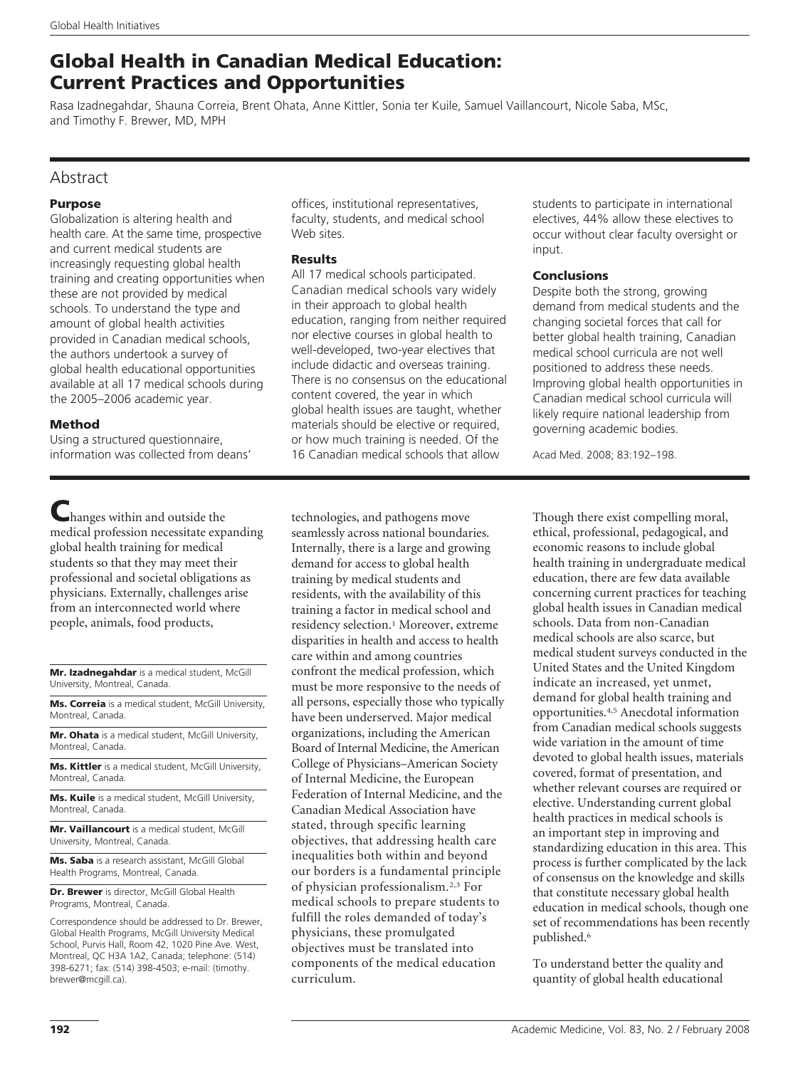# Global Health in Canadian Medical Education: Current Practices and Opportunities

Rasa Izadnegahdar, Shauna Correia, Brent Ohata, Anne Kittler, Sonia ter Kuile, Samuel Vaillancourt, Nicole Saba, MSc, and Timothy F. Brewer, MD, MPH

## Abstract

## Purpose

Globalization is altering health and health care. At the same time, prospective and current medical students are increasingly requesting global health training and creating opportunities when these are not provided by medical schools. To understand the type and amount of global health activities provided in Canadian medical schools, the authors undertook a survey of global health educational opportunities available at all 17 medical schools during the 2005–2006 academic year.

## Method

Using a structured questionnaire, information was collected from deans'

 $-$ hanges within and outside the medical profession necessitate expanding global health training for medical students so that they may meet their professional and societal obligations as physicians. Externally, challenges arise from an interconnected world where people, animals, food products,

Mr. Izadnegahdar is a medical student, McGill University, Montreal, Canada.

Ms. Correia is a medical student, McGill University, Montreal, Canada.

Mr. Ohata is a medical student, McGill University, Montreal, Canada.

Ms. Kittler is a medical student, McGill University, Montreal, Canada.

Ms. Kuile is a medical student, McGill University, Montreal, Canada.

Mr. Vaillancourt is a medical student, McGill University, Montreal, Canada.

Ms. Saba is a research assistant, McGill Global Health Programs, Montreal, Canada.

Dr. Brewer is director, McGill Global Health Programs, Montreal, Canada.

Correspondence should be addressed to Dr. Brewer, Global Health Programs, McGill University Medical School, Purvis Hall, Room 42, 1020 Pine Ave. West, Montreal, QC H3A 1A2, Canada; telephone: (514) 398-6271; fax: (514) 398-4503; e-mail: (timothy. brewer@mcgill.ca).

offices, institutional representatives, faculty, students, and medical school Web sites.

## **Results**

All 17 medical schools participated. Canadian medical schools vary widely in their approach to global health education, ranging from neither required nor elective courses in global health to well-developed, two-year electives that include didactic and overseas training. There is no consensus on the educational content covered, the year in which global health issues are taught, whether materials should be elective or required, or how much training is needed. Of the 16 Canadian medical schools that allow

technologies, and pathogens move seamlessly across national boundaries. Internally, there is a large and growing demand for access to global health training by medical students and residents, with the availability of this training a factor in medical school and residency selection.1 Moreover, extreme disparities in health and access to health care within and among countries confront the medical profession, which must be more responsive to the needs of all persons, especially those who typically have been underserved. Major medical organizations, including the American Board of Internal Medicine, the American College of Physicians–American Society of Internal Medicine, the European Federation of Internal Medicine, and the Canadian Medical Association have stated, through specific learning objectives, that addressing health care inequalities both within and beyond our borders is a fundamental principle of physician professionalism.2,3 For medical schools to prepare students to fulfill the roles demanded of today's physicians, these promulgated objectives must be translated into components of the medical education curriculum.

students to participate in international electives, 44% allow these electives to occur without clear faculty oversight or input.

## Conclusions

Despite both the strong, growing demand from medical students and the changing societal forces that call for better global health training, Canadian medical school curricula are not well positioned to address these needs. Improving global health opportunities in Canadian medical school curricula will likely require national leadership from governing academic bodies.

Acad Med. 2008; 83:192–198.

Though there exist compelling moral, ethical, professional, pedagogical, and economic reasons to include global health training in undergraduate medical education, there are few data available concerning current practices for teaching global health issues in Canadian medical schools. Data from non-Canadian medical schools are also scarce, but medical student surveys conducted in the United States and the United Kingdom indicate an increased, yet unmet, demand for global health training and opportunities.4,5 Anecdotal information from Canadian medical schools suggests wide variation in the amount of time devoted to global health issues, materials covered, format of presentation, and whether relevant courses are required or elective. Understanding current global health practices in medical schools is an important step in improving and standardizing education in this area. This process is further complicated by the lack of consensus on the knowledge and skills that constitute necessary global health education in medical schools, though one set of recommendations has been recently published.6

To understand better the quality and quantity of global health educational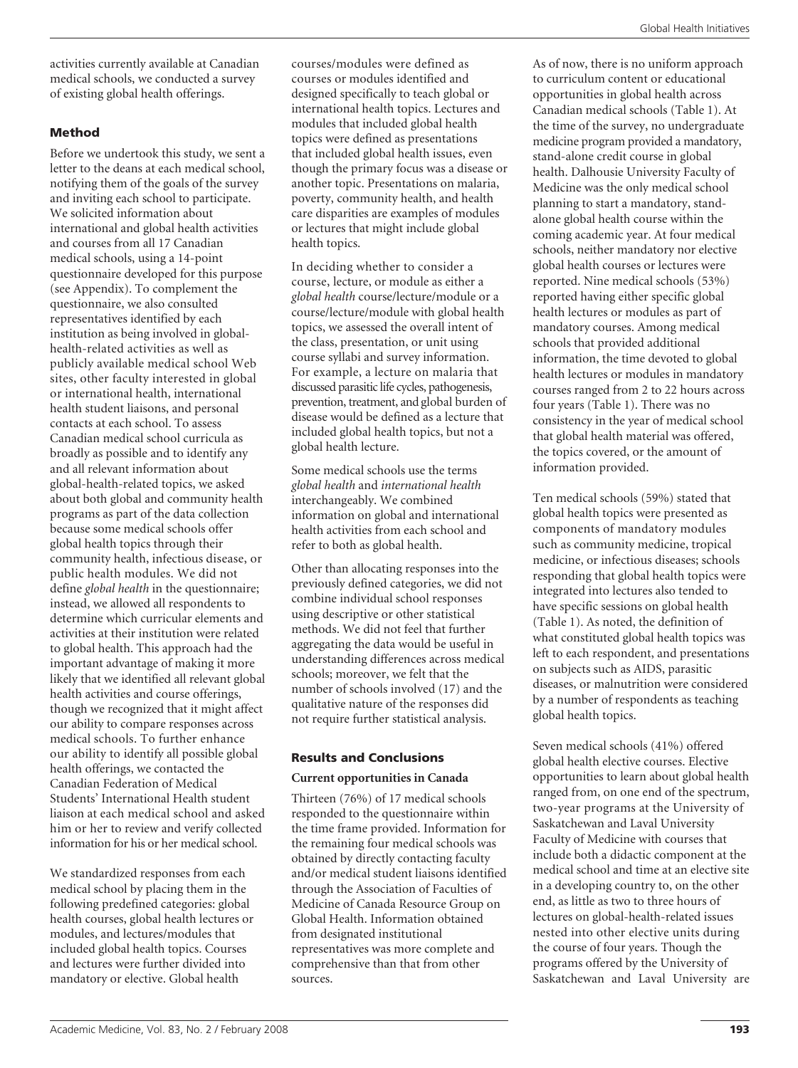activities currently available at Canadian medical schools, we conducted a survey of existing global health offerings.

## Method

Before we undertook this study, we sent a letter to the deans at each medical school, notifying them of the goals of the survey and inviting each school to participate. We solicited information about international and global health activities and courses from all 17 Canadian medical schools, using a 14-point questionnaire developed for this purpose (see Appendix). To complement the questionnaire, we also consulted representatives identified by each institution as being involved in globalhealth-related activities as well as publicly available medical school Web sites, other faculty interested in global or international health, international health student liaisons, and personal contacts at each school. To assess Canadian medical school curricula as broadly as possible and to identify any and all relevant information about global-health-related topics, we asked about both global and community health programs as part of the data collection because some medical schools offer global health topics through their community health, infectious disease, or public health modules. We did not define *global health* in the questionnaire; instead, we allowed all respondents to determine which curricular elements and activities at their institution were related to global health. This approach had the important advantage of making it more likely that we identified all relevant global health activities and course offerings, though we recognized that it might affect our ability to compare responses across medical schools. To further enhance our ability to identify all possible global health offerings, we contacted the Canadian Federation of Medical Students' International Health student liaison at each medical school and asked him or her to review and verify collected information for his or her medical school.

We standardized responses from each medical school by placing them in the following predefined categories: global health courses, global health lectures or modules, and lectures/modules that included global health topics. Courses and lectures were further divided into mandatory or elective. Global health

courses/modules were defined as courses or modules identified and designed specifically to teach global or international health topics. Lectures and modules that included global health topics were defined as presentations that included global health issues, even though the primary focus was a disease or another topic. Presentations on malaria, poverty, community health, and health care disparities are examples of modules or lectures that might include global health topics.

In deciding whether to consider a course, lecture, or module as either a *global health* course/lecture/module or a course/lecture/module with global health topics, we assessed the overall intent of the class, presentation, or unit using course syllabi and survey information. For example, a lecture on malaria that discussed parasitic life cycles, pathogenesis, prevention, treatment, and global burden of disease would be defined as a lecture that included global health topics, but not a global health lecture.

Some medical schools use the terms *global health* and *international health* interchangeably. We combined information on global and international health activities from each school and refer to both as global health.

Other than allocating responses into the previously defined categories, we did not combine individual school responses using descriptive or other statistical methods. We did not feel that further aggregating the data would be useful in understanding differences across medical schools; moreover, we felt that the number of schools involved (17) and the qualitative nature of the responses did not require further statistical analysis.

## Results and Conclusions

### **Current opportunities in Canada**

Thirteen (76%) of 17 medical schools responded to the questionnaire within the time frame provided. Information for the remaining four medical schools was obtained by directly contacting faculty and/or medical student liaisons identified through the Association of Faculties of Medicine of Canada Resource Group on Global Health. Information obtained from designated institutional representatives was more complete and comprehensive than that from other sources.

As of now, there is no uniform approach to curriculum content or educational opportunities in global health across Canadian medical schools (Table 1). At the time of the survey, no undergraduate medicine program provided a mandatory, stand-alone credit course in global health. Dalhousie University Faculty of Medicine was the only medical school planning to start a mandatory, standalone global health course within the coming academic year. At four medical schools, neither mandatory nor elective global health courses or lectures were reported. Nine medical schools (53%) reported having either specific global health lectures or modules as part of mandatory courses. Among medical schools that provided additional information, the time devoted to global health lectures or modules in mandatory courses ranged from 2 to 22 hours across four years (Table 1). There was no consistency in the year of medical school that global health material was offered, the topics covered, or the amount of information provided.

Ten medical schools (59%) stated that global health topics were presented as components of mandatory modules such as community medicine, tropical medicine, or infectious diseases; schools responding that global health topics were integrated into lectures also tended to have specific sessions on global health (Table 1). As noted, the definition of what constituted global health topics was left to each respondent, and presentations on subjects such as AIDS, parasitic diseases, or malnutrition were considered by a number of respondents as teaching global health topics.

Seven medical schools (41%) offered global health elective courses. Elective opportunities to learn about global health ranged from, on one end of the spectrum, two-year programs at the University of Saskatchewan and Laval University Faculty of Medicine with courses that include both a didactic component at the medical school and time at an elective site in a developing country to, on the other end, as little as two to three hours of lectures on global-health-related issues nested into other elective units during the course of four years. Though the programs offered by the University of Saskatchewan and Laval University are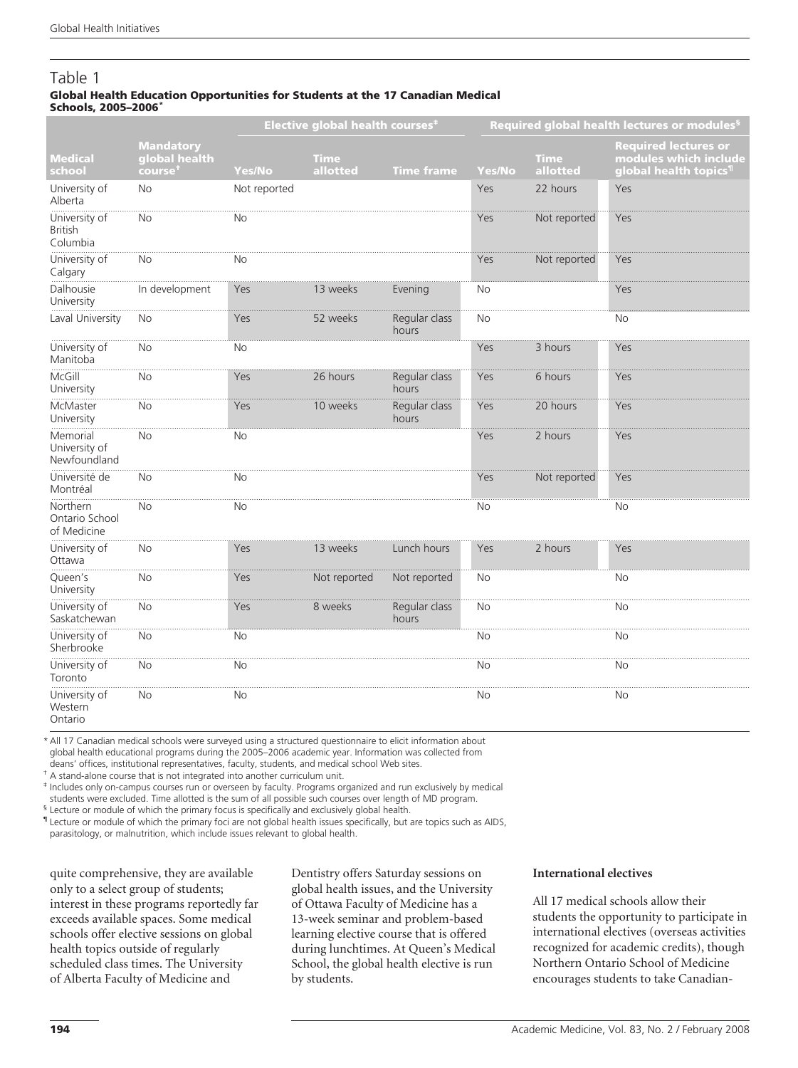#### Table 1 Global Health Education Opportunities for Students at the 17 Canadian Medical Schools, 2005–2006\*

|                                             |                                                          |              | Elective global health courses <sup>+</sup> |                        | Required global health lectures or modules <sup>§</sup> |                         |                                                                                            |
|---------------------------------------------|----------------------------------------------------------|--------------|---------------------------------------------|------------------------|---------------------------------------------------------|-------------------------|--------------------------------------------------------------------------------------------|
| <b>Medical</b><br>school                    | <b>Mandatory</b><br>global health<br>course <sup>1</sup> | Yes/No       | <b>Time</b><br>allotted                     | <b>Time frame</b>      | Yes/No                                                  | <b>Time</b><br>allotted | <b>Required lectures or</b><br>modules which include<br>global health topics <sup>11</sup> |
| University of<br>Alberta                    | <b>No</b>                                                | Not reported |                                             |                        | Yes                                                     | 22 hours                | Yes                                                                                        |
| University of<br><b>British</b><br>Columbia | <b>No</b>                                                | <b>No</b>    |                                             |                        | Yes                                                     | Not reported            | Yes                                                                                        |
| University of<br>Calgary                    | No                                                       | No           |                                             |                        | Yes                                                     | Not reported            | Yes                                                                                        |
| <b>Dalhousie</b><br>University              | In development                                           | Yes          | 13 weeks                                    | Evening                | <b>No</b>                                               |                         | Yes                                                                                        |
| Laval University                            | <b>No</b>                                                | Yes          | 52 weeks                                    | Regular class<br>hours | <b>No</b>                                               |                         | <b>No</b>                                                                                  |
| University of<br>Manitoba                   | <b>No</b>                                                | <b>No</b>    |                                             |                        | Yes                                                     | 3 hours                 | Yes                                                                                        |
| McGill<br>University                        | No                                                       | Yes          | 26 hours                                    | Regular class<br>hours | Yes                                                     | 6 hours                 | Yes                                                                                        |
| McMaster<br>University                      | No                                                       | Yes          | 10 weeks                                    | Regular class<br>hours | Yes                                                     | 20 hours                | Yes                                                                                        |
| Memorial<br>University of<br>Newfoundland   | No                                                       | <b>No</b>    |                                             |                        | Yes                                                     | 2 hours                 | Yes                                                                                        |
| Université de<br>Montréal                   | No                                                       | No           |                                             |                        | Yes                                                     | Not reported            | Yes                                                                                        |
| Northern<br>Ontario School<br>of Medicine   | No                                                       | No           |                                             |                        | No                                                      |                         | No                                                                                         |
| University of<br>Ottawa                     | No                                                       | Yes          | 13 weeks                                    | Lunch hours            | Yes                                                     | 2 hours                 | Yes                                                                                        |
| Queen's<br>University                       | No                                                       | Yes          | Not reported                                | Not reported           | <b>No</b>                                               |                         | <b>No</b>                                                                                  |
| University of<br>Saskatchewan               | No                                                       | Yes          | 8 weeks                                     | Regular class<br>hours | No                                                      |                         | No                                                                                         |
| University of<br>Sherbrooke                 | No                                                       | <b>No</b>    |                                             |                        | <b>No</b>                                               |                         | No                                                                                         |
| University of<br>Toronto                    | <b>No</b>                                                | No           |                                             |                        | No                                                      |                         | No                                                                                         |
| University of<br>Western<br>Ontario         | No                                                       | No           |                                             |                        | No                                                      |                         | No                                                                                         |

\* All 17 Canadian medical schools were surveyed using a structured questionnaire to elicit information about global health educational programs during the 2005–2006 academic year. Information was collected from deans' offices, institutional representatives, faculty, students, and medical school Web sites.

† A stand-alone course that is not integrated into another curriculum unit.

‡ Includes only on-campus courses run or overseen by faculty. Programs organized and run exclusively by medical students were excluded. Time allotted is the sum of all possible such courses over length of MD program.

§ Lecture or module of which the primary focus is specifically and exclusively global health.

¶ Lecture or module of which the primary foci are not global health issues specifically, but are topics such as AIDS, parasitology, or malnutrition, which include issues relevant to global health.

quite comprehensive, they are available only to a select group of students; interest in these programs reportedly far exceeds available spaces. Some medical schools offer elective sessions on global health topics outside of regularly scheduled class times. The University of Alberta Faculty of Medicine and

Dentistry offers Saturday sessions on global health issues, and the University of Ottawa Faculty of Medicine has a 13-week seminar and problem-based learning elective course that is offered during lunchtimes. At Queen's Medical School, the global health elective is run by students.

#### **International electives**

All 17 medical schools allow their students the opportunity to participate in international electives (overseas activities recognized for academic credits), though Northern Ontario School of Medicine encourages students to take Canadian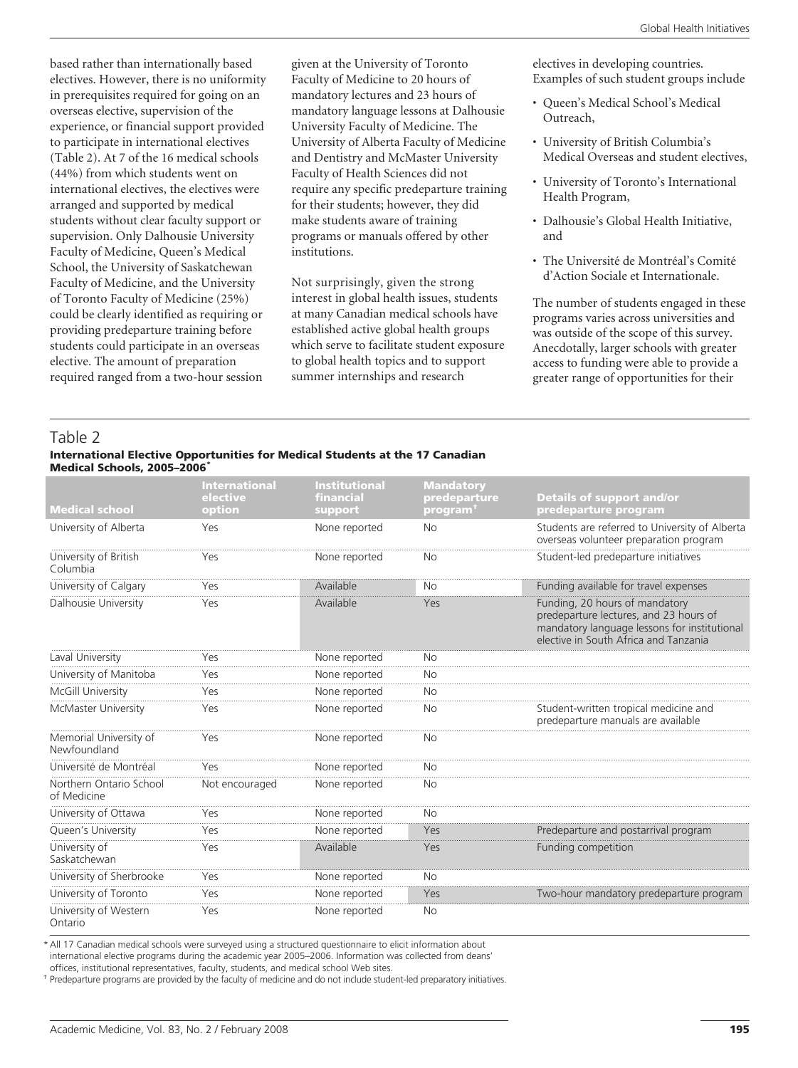based rather than internationally based electives. However, there is no uniformity in prerequisites required for going on an overseas elective, supervision of the experience, or financial support provided to participate in international electives (Table 2). At 7 of the 16 medical schools (44%) from which students went on international electives, the electives were arranged and supported by medical students without clear faculty support or supervision. Only Dalhousie University Faculty of Medicine, Queen's Medical School, the University of Saskatchewan Faculty of Medicine, and the University of Toronto Faculty of Medicine (25%) could be clearly identified as requiring or providing predeparture training before students could participate in an overseas elective. The amount of preparation required ranged from a two-hour session

given at the University of Toronto Faculty of Medicine to 20 hours of mandatory lectures and 23 hours of mandatory language lessons at Dalhousie University Faculty of Medicine. The University of Alberta Faculty of Medicine and Dentistry and McMaster University Faculty of Health Sciences did not require any specific predeparture training for their students; however, they did make students aware of training programs or manuals offered by other institutions.

Not surprisingly, given the strong interest in global health issues, students at many Canadian medical schools have established active global health groups which serve to facilitate student exposure to global health topics and to support summer internships and research

electives in developing countries. Examples of such student groups include

- Queen's Medical School's Medical Outreach,
- University of British Columbia's Medical Overseas and student electives,
- University of Toronto's International Health Program,
- Dalhousie's Global Health Initiative, and
- The Université de Montréal's Comité d'Action Sociale et Internationale.

The number of students engaged in these programs varies across universities and was outside of the scope of this survey. Anecdotally, larger schools with greater access to funding were able to provide a greater range of opportunities for their

## Table 2

#### International Elective Opportunities for Medical Students at the 17 Canadian Medical Schools, 2005–2006\*

| <b>Medical school</b>                  | <b>International</b><br>elective<br>option | <b>Institutional</b><br>financial<br>support | <b>Mandatory</b><br>predeparture<br>program | <b>Details of support and/or</b><br>predeparture program                                                                                                          |
|----------------------------------------|--------------------------------------------|----------------------------------------------|---------------------------------------------|-------------------------------------------------------------------------------------------------------------------------------------------------------------------|
| University of Alberta                  | Yes                                        | None reported                                | <b>No</b>                                   | Students are referred to University of Alberta<br>overseas volunteer preparation program                                                                          |
| University of British<br>Columbia      | Yes                                        | None reported                                | <b>No</b>                                   | Student-led predeparture initiatives                                                                                                                              |
| University of Calgary                  | Yes                                        | Available                                    | No                                          | Funding available for travel expenses                                                                                                                             |
| Dalhousie University                   | Yes                                        | Available                                    | Yes                                         | Funding, 20 hours of mandatory<br>predeparture lectures, and 23 hours of<br>mandatory language lessons for institutional<br>elective in South Africa and Tanzania |
| Laval University                       | Yes                                        | None reported                                | <b>No</b>                                   |                                                                                                                                                                   |
| University of Manitoba                 | Yes                                        | None reported                                | No                                          |                                                                                                                                                                   |
| McGill University                      | Yes                                        | None reported                                | <b>No</b>                                   |                                                                                                                                                                   |
| McMaster University                    | Yes                                        | None reported                                | <b>No</b>                                   | Student-written tropical medicine and<br>predeparture manuals are available                                                                                       |
| Memorial University of<br>Newfoundland | Yes                                        | None reported                                | No                                          |                                                                                                                                                                   |
| Université de Montréal                 | Yes                                        | None reported                                | No                                          |                                                                                                                                                                   |
| Northern Ontario School<br>of Medicine | Not encouraged                             | None reported                                | No                                          |                                                                                                                                                                   |
| University of Ottawa                   | Yes                                        | None reported                                | No                                          |                                                                                                                                                                   |
| Queen's University                     | Yes                                        | None reported                                | Yes                                         | Predeparture and postarrival program                                                                                                                              |
| University of<br>Saskatchewan          | Yes                                        | Available                                    | Yes                                         | Funding competition                                                                                                                                               |
| University of Sherbrooke               | Yes                                        | None reported                                | No                                          |                                                                                                                                                                   |
| University of Toronto                  | Yes                                        | None reported                                | Yes                                         | Two-hour mandatory predeparture program                                                                                                                           |
| University of Western<br>Ontario       | Yes                                        | None reported                                | <b>No</b>                                   |                                                                                                                                                                   |

\* All 17 Canadian medical schools were surveyed using a structured questionnaire to elicit information about international elective programs during the academic year 2005–2006. Information was collected from deans'

offices, institutional representatives, faculty, students, and medical school Web sites.

† Predeparture programs are provided by the faculty of medicine and do not include student-led preparatory initiatives.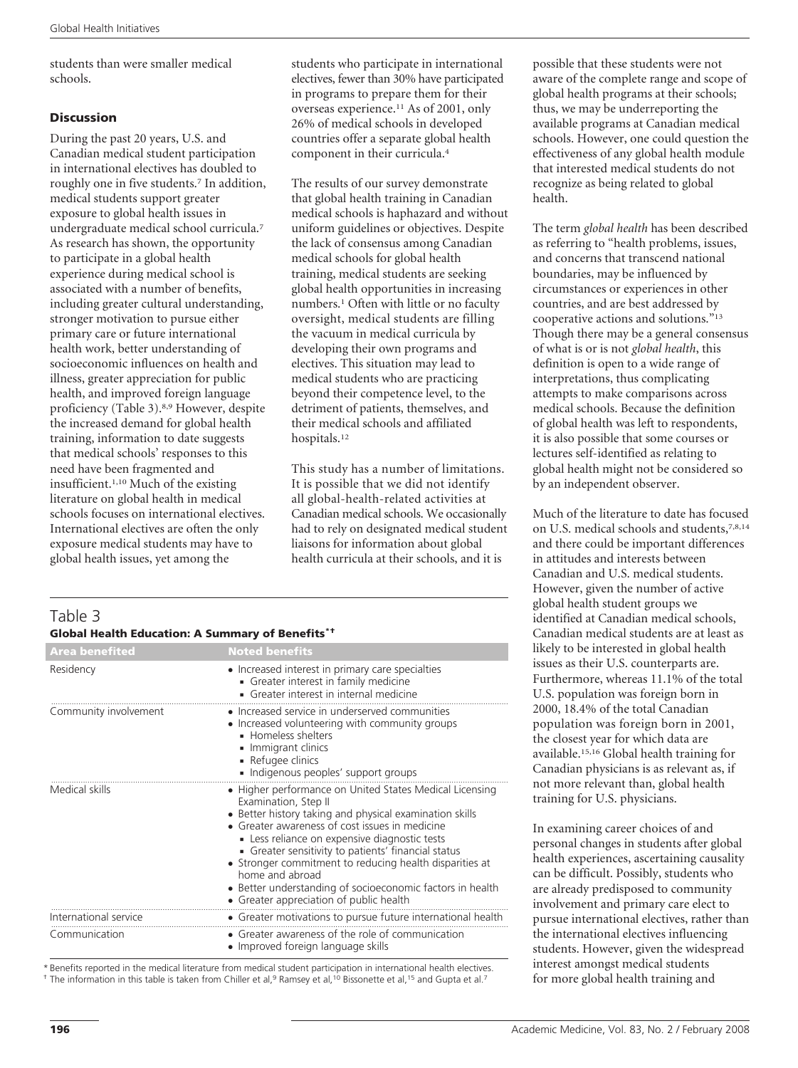students than were smaller medical schools.

## Discussion

During the past 20 years, U.S. and Canadian medical student participation in international electives has doubled to roughly one in five students.7 In addition, medical students support greater exposure to global health issues in undergraduate medical school curricula.7 As research has shown, the opportunity to participate in a global health experience during medical school is associated with a number of benefits, including greater cultural understanding, stronger motivation to pursue either primary care or future international health work, better understanding of socioeconomic influences on health and illness, greater appreciation for public health, and improved foreign language proficiency (Table 3).8,9 However, despite the increased demand for global health training, information to date suggests that medical schools' responses to this need have been fragmented and insufficient.1,10 Much of the existing literature on global health in medical schools focuses on international electives. International electives are often the only exposure medical students may have to global health issues, yet among the

students who participate in international electives, fewer than 30% have participated in programs to prepare them for their overseas experience.11 As of 2001, only 26% of medical schools in developed countries offer a separate global health component in their curricula.4

The results of our survey demonstrate that global health training in Canadian medical schools is haphazard and without uniform guidelines or objectives. Despite the lack of consensus among Canadian medical schools for global health training, medical students are seeking global health opportunities in increasing numbers.1 Often with little or no faculty oversight, medical students are filling the vacuum in medical curricula by developing their own programs and electives. This situation may lead to medical students who are practicing beyond their competence level, to the detriment of patients, themselves, and their medical schools and affiliated hospitals.<sup>12</sup>

This study has a number of limitations. It is possible that we did not identify all global-health-related activities at Canadian medical schools. We occasionally had to rely on designated medical student liaisons for information about global health curricula at their schools, and it is

possible that these students were not aware of the complete range and scope of global health programs at their schools; thus, we may be underreporting the available programs at Canadian medical schools. However, one could question the effectiveness of any global health module that interested medical students do not recognize as being related to global health.

The term *global health* has been described as referring to "health problems, issues, and concerns that transcend national boundaries, may be influenced by circumstances or experiences in other countries, and are best addressed by cooperative actions and solutions."13 Though there may be a general consensus of what is or is not *global health*, this definition is open to a wide range of interpretations, thus complicating attempts to make comparisons across medical schools. Because the definition of global health was left to respondents, it is also possible that some courses or lectures self-identified as relating to global health might not be considered so by an independent observer.

Much of the literature to date has focused on U.S. medical schools and students,<sup>7,8,14</sup> and there could be important differences in attitudes and interests between Canadian and U.S. medical students. However, given the number of active global health student groups we identified at Canadian medical schools, Canadian medical students are at least as likely to be interested in global health issues as their U.S. counterparts are. Furthermore, whereas 11.1% of the total U.S. population was foreign born in 2000, 18.4% of the total Canadian population was foreign born in 2001, the closest year for which data are available.15,16 Global health training for Canadian physicians is as relevant as, if not more relevant than, global health training for U.S. physicians.

In examining career choices of and personal changes in students after global health experiences, ascertaining causality can be difficult. Possibly, students who are already predisposed to community involvement and primary care elect to pursue international electives, rather than the international electives influencing students. However, given the widespread interest amongst medical students for more global health training and

# Table 3 Global Health Education: A Summary of Benefits\*†

| <b>Area benefited</b> | <b>Noted benefits</b>                                                                                                                                                                                                                                                                                                                                                                                                                                                                      |
|-----------------------|--------------------------------------------------------------------------------------------------------------------------------------------------------------------------------------------------------------------------------------------------------------------------------------------------------------------------------------------------------------------------------------------------------------------------------------------------------------------------------------------|
| Residency             | • Increased interest in primary care specialties<br>Greater interest in family medicine<br>• Greater interest in internal medicine                                                                                                                                                                                                                                                                                                                                                         |
| Community involvement | • Increased service in underserved communities<br>• Increased volunteering with community groups<br>• Homeless shelters<br>• Immigrant clinics<br>• Refugee clinics<br>• Indigenous peoples' support groups                                                                                                                                                                                                                                                                                |
| Medical skills        | • Higher performance on United States Medical Licensing<br>Examination, Step II<br>• Better history taking and physical examination skills<br>• Greater awareness of cost issues in medicine<br>• Less reliance on expensive diagnostic tests<br>• Greater sensitivity to patients' financial status<br>• Stronger commitment to reducing health disparities at<br>home and abroad<br>• Better understanding of socioeconomic factors in health<br>• Greater appreciation of public health |
| International service | • Greater motivations to pursue future international health                                                                                                                                                                                                                                                                                                                                                                                                                                |
| Communication         | • Greater awareness of the role of communication<br>• Improved foreign language skills                                                                                                                                                                                                                                                                                                                                                                                                     |
|                       |                                                                                                                                                                                                                                                                                                                                                                                                                                                                                            |

\* Benefits reported in the medical literature from medical student participation in international health electives. <sup>†</sup> The information in this table is taken from Chiller et al,<sup>9</sup> Ramsey et al,<sup>10</sup> Bissonette et al,<sup>15</sup> and Gupta et al.<sup>7</sup>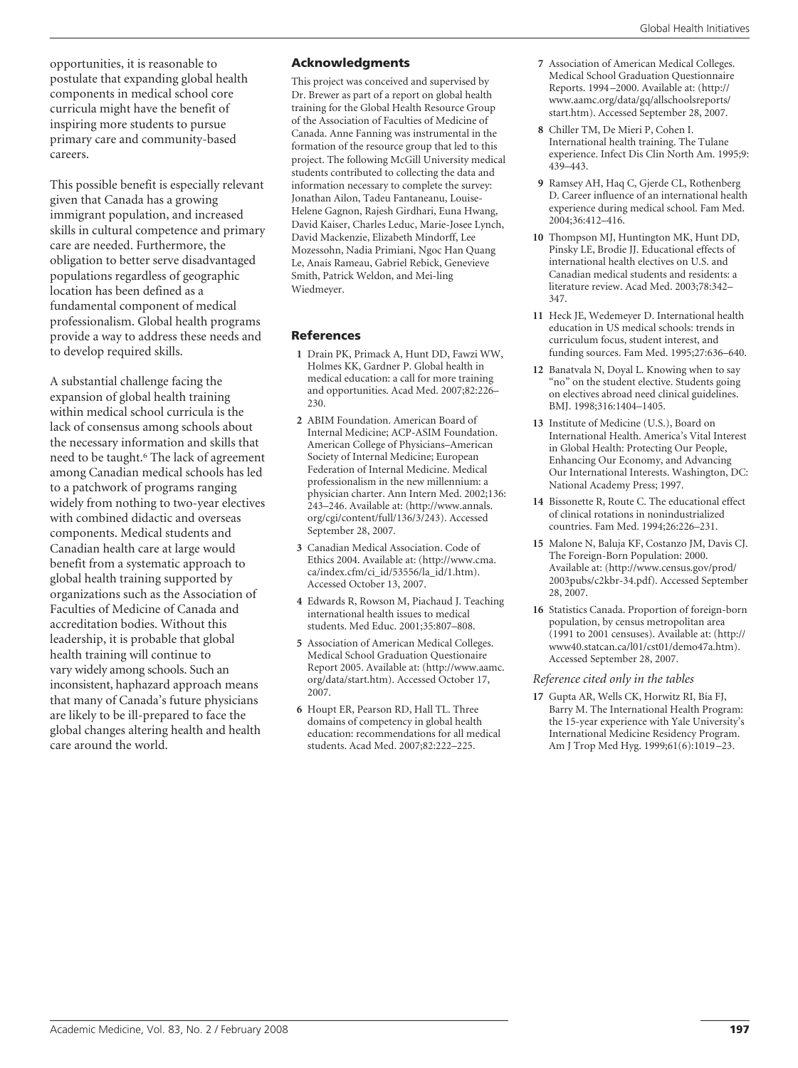opportunities, it is reasonable to postulate that expanding global health components in medical school core curricula might have the benefit of inspiring more students to pursue primary care and community-based careers.

This possible benefit is especially relevant given that Canada has a growing immigrant population, and increased skills in cultural competence and primary care are needed. Furthermore, the obligation to better serve disadvantaged populations regardless of geographic location has been defined as a fundamental component of medical professionalism. Global health programs provide a way to address these needs and to develop required skills.

A substantial challenge facing the expansion of global health training within medical school curricula is the lack of consensus among schools about the necessary information and skills that need to be taught.<sup>6</sup> The lack of agreement among Canadian medical schools has led to a patchwork of programs ranging widely from nothing to two-year electives with combined didactic and overseas components. Medical students and Canadian health care at large would benefit from a systematic approach to global health training supported by organizations such as the Association of Faculties of Medicine of Canada and accreditation bodies. Without this leadership, it is probable that global health training will continue to vary widely among schools. Such an inconsistent, haphazard approach means that many of Canada's future physicians are likely to be ill-prepared to face the global changes altering health and health care around the world.

## Acknowledgments

This project was conceived and supervised by Dr. Brewer as part of a report on global health training for the Global Health Resource Group of the Association of Faculties of Medicine of Canada. Anne Fanning was instrumental in the formation of the resource group that led to this project. The following McGill University medical students contributed to collecting the data and information necessary to complete the survey: Jonathan Ailon, Tadeu Fantaneanu, Louise-Helene Gagnon, Rajesh Girdhari, Euna Hwang, David Kaiser, Charles Leduc, Marie-Josee Lynch, David Mackenzie, Elizabeth Mindorff, Lee Mozessohn, Nadia Primiani, Ngoc Han Quang Le, Anais Rameau, Gabriel Rebick, Genevieve Smith, Patrick Weldon, and Mei-ling Wiedmeyer.

### References

- **1** Drain PK, Primack A, Hunt DD, Fawzi WW, Holmes KK, Gardner P. Global health in medical education: a call for more training and opportunities. Acad Med. 2007;82:226– 230
- **2** ABIM Foundation. American Board of Internal Medicine; ACP-ASIM Foundation. American College of Physicians–American Society of Internal Medicine; European Federation of Internal Medicine. Medical professionalism in the new millennium: a physician charter. Ann Intern Med. 2002;136: 243–246. Available at: (http://www.annals. org/cgi/content/full/136/3/243). Accessed September 28, 2007.
- **3** Canadian Medical Association. Code of Ethics 2004. Available at: (http://www.cma. ca/index.cfm/ci\_id/53556/la\_id/1.htm). Accessed October 13, 2007.
- **4** Edwards R, Rowson M, Piachaud J. Teaching international health issues to medical students. Med Educ. 2001;35:807–808.
- **5** Association of American Medical Colleges. Medical School Graduation Questionaire Report 2005. Available at: (http://www.aamc. org/data/start.htm). Accessed October 17, 2007.
- **6** Houpt ER, Pearson RD, Hall TL. Three domains of competency in global health education: recommendations for all medical students. Acad Med. 2007;82:222–225.
- **7** Association of American Medical Colleges. Medical School Graduation Questionnaire Reports. 1994 –2000. Available at: (http:// www.aamc.org/data/gq/allschoolsreports/ start.htm). Accessed September 28, 2007.
- **8** Chiller TM, De Mieri P, Cohen I. International health training. The Tulane experience. Infect Dis Clin North Am. 1995;9: 439–443.
- **9** Ramsey AH, Haq C, Gjerde CL, Rothenberg D. Career influence of an international health experience during medical school. Fam Med. 2004;36:412–416.
- **10** Thompson MJ, Huntington MK, Hunt DD, Pinsky LE, Brodie JJ. Educational effects of international health electives on U.S. and Canadian medical students and residents: a literature review. Acad Med. 2003;78:342– 347.
- **11** Heck JE, Wedemeyer D. International health education in US medical schools: trends in curriculum focus, student interest, and funding sources. Fam Med. 1995;27:636–640.
- **12** Banatvala N, Doyal L. Knowing when to say "no" on the student elective. Students going on electives abroad need clinical guidelines. BMJ. 1998;316:1404–1405.
- **13** Institute of Medicine (U.S.), Board on International Health. America's Vital Interest in Global Health: Protecting Our People, Enhancing Our Economy, and Advancing Our International Interests. Washington, DC: National Academy Press; 1997.
- **14** Bissonette R, Route C. The educational effect of clinical rotations in nonindustrialized countries. Fam Med. 1994;26:226–231.
- **15** Malone N, Baluja KF, Costanzo JM, Davis CJ. The Foreign-Born Population: 2000. Available at: (http://www.census.gov/prod/ 2003pubs/c2kbr-34.pdf). Accessed September 28, 2007.
- **16** Statistics Canada. Proportion of foreign-born population, by census metropolitan area (1991 to 2001 censuses). Available at: (http:// www40.statcan.ca/l01/cst01/demo47a.htm). Accessed September 28, 2007.

#### *Reference cited only in the tables*

**17** Gupta AR, Wells CK, Horwitz RI, Bia FJ, Barry M. The International Health Program: the 15-year experience with Yale University's International Medicine Residency Program. Am J Trop Med Hyg. 1999;61(6):1019 –23.